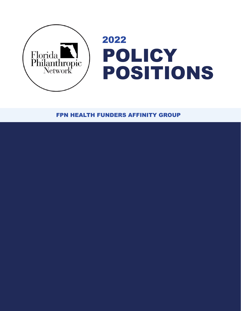

FPN HEALTH FUNDERS AFFINITY GROUP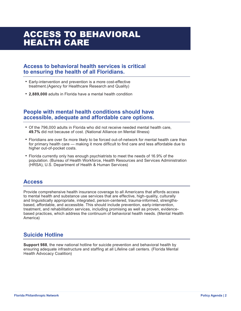## ACCESS TO BEHAVIORAL HEALTH CARE

#### **Access to behavioral health services is critical to ensuring the health of all Floridians.**

- Early-intervention and prevention is a more cost-effective treatment.(Agency for Healthcare Research and Quality)
- **2,889,000** adults in Florida have a mental health condition

#### **People with mental health conditions should have accessible, adequate and affordable care options.**

- Of the 796,000 adults in Florida who did not receive needed mental health care, **49.7%** did not because of cost. (National Alliance on Mental Illness)
- Floridians are over 5x more likely to be forced out-of-network for mental health care than for primary health care — making it more difficult to find care and less affordable due to higher out-of-pocket costs.
- Florida currently only has enough psychiatrists to meet the needs of 16.9% of the population. (Bureau of Health Workforce, Health Resources and Services Administration (HRSA), U.S. Department of Health & Human Services)

#### **Access**

Provide comprehensive health insurance coverage to all Americans that affords access to mental health and substance use services that are effective, high-quality, culturally and linguistically appropriate, integrated, person-centered, trauma-informed, strengthsbased, affordable, and accessible. This should include prevention, early-intervention, treatment, and rehabilitation services, including promising as well as proven, evidencebased practices, which address the continuum of behavioral health needs. (Mental Health America)

### **Suicide Hotline**

**Support 988**, the new national hotline for suicide prevention and behavioral health by ensuring adequate infrastructure and staffing at all Lifeline call centers. (Florida Mental Health Advocacy Coalition)